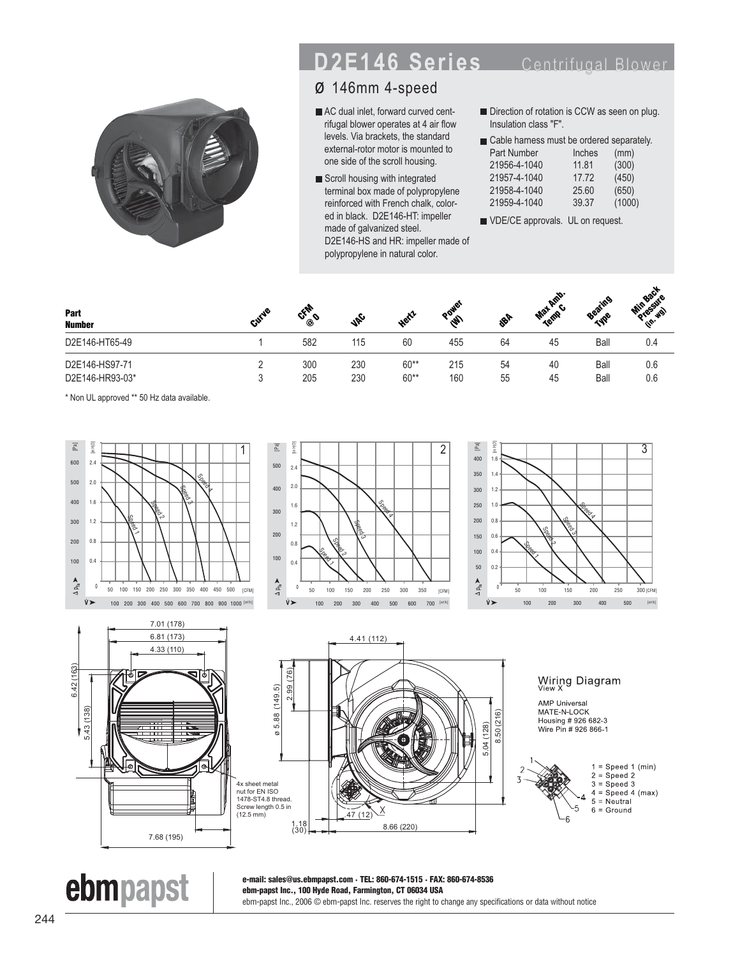## **D2E146 Series** Centrifugal Bloy



## ø 146mm 4-speed

- AC dual inlet, forward curved centrifugal blower operates at 4 air flow levels. Via brackets, the standard external-rotor motor is mounted to one side of the scroll housing.
- Scroll housing with integrated terminal box made of polypropylene reinforced with French chalk, colored in black. D2E146-HT: impeller made of galvanized steel. D2E146-HS and HR: impeller made of polypropylene in natural color.
- Direction of rotation is CCW as seen on plug. Insulation class "F".

VDE/CE approvals. UL on request.

| Part<br><b>Number</b>             | c.         | $\mathscr{P}$ | Heitz            | <b>R</b>   | <b>SBF</b> | <b>Plup</b><br>$\mathbf{v}_2$<br>Terms | Beating      | <b>Air</b><br>للحجير<br>'ه.<br>i\$ |
|-----------------------------------|------------|---------------|------------------|------------|------------|----------------------------------------|--------------|------------------------------------|
| D2E146-HT65-49                    | 582        | 115           | 60               | 455        | 64         | 45                                     | Ball         | 0.4                                |
| D2E146-HS97-71<br>D2E146-HR93-03* | 300<br>205 | 230<br>230    | $60**$<br>$60**$ | 215<br>160 | 54<br>55   | 40<br>45                               | Ball<br>Ball | 0.6<br>0.6                         |

\* Non UL approved \*\* 50 Hz data available.









ebmpapst



Wiring Diagram

**AMP Universal** MATE-N-LOCK Housing # 926 682-3 Wire Pin # 926 866-1



**e-mail: sales@us.ebmpapst.com · TEL: 860-674-1515 · FAX: 860-674-8536 ebm-papst Inc., 100 Hyde Road, Farmington, CT 06034 USA** ebm-papst Inc., 2006 © ebm-papst Inc. reserves the right to change any specifications or data without notice